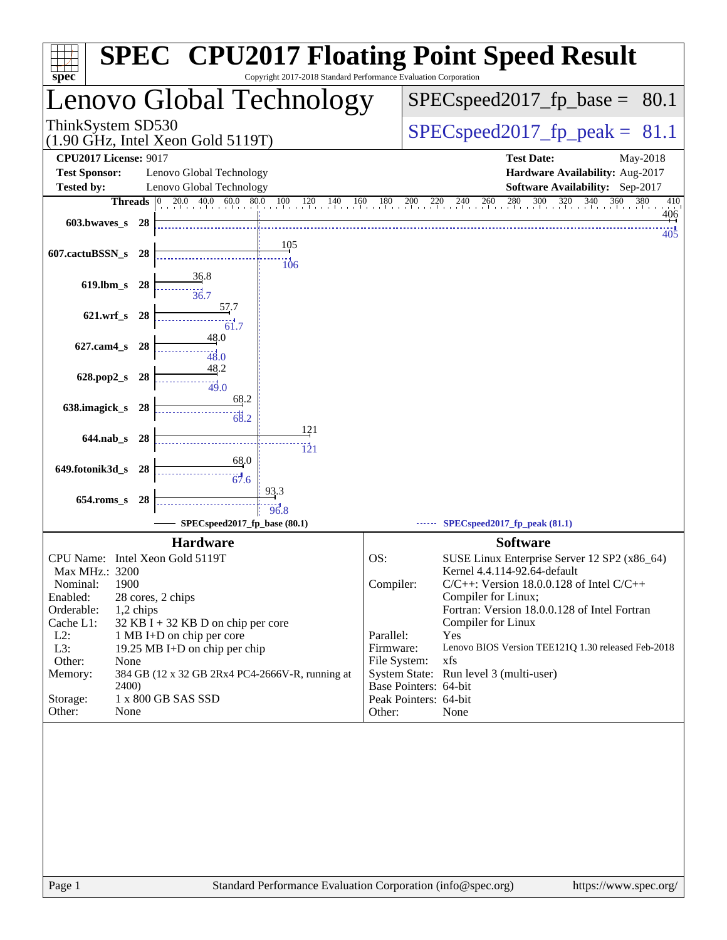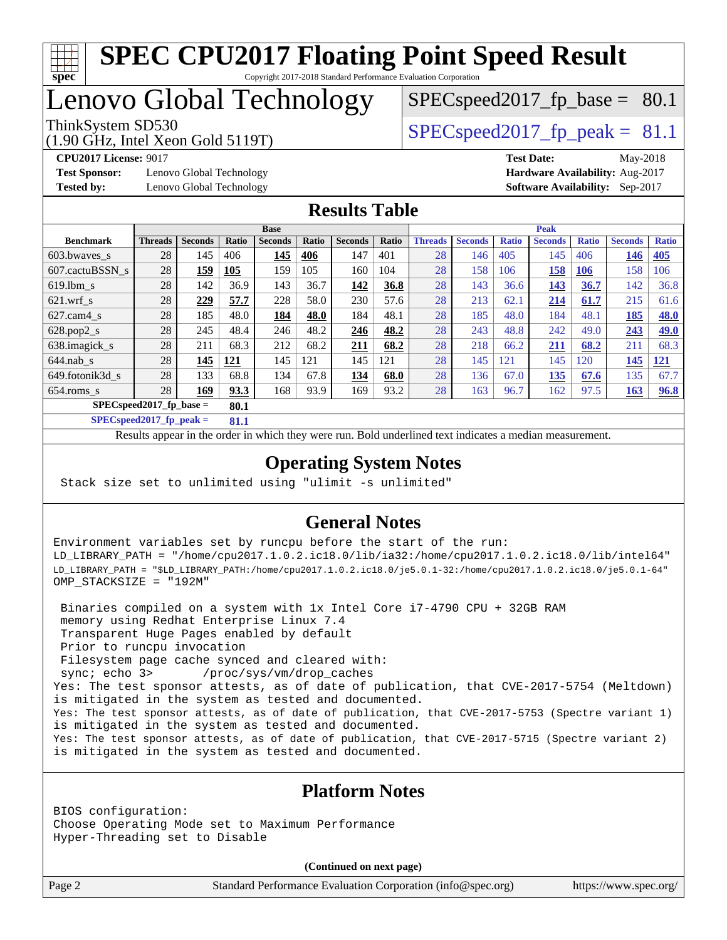

# Lenovo Global Technology

(1.90 GHz, Intel Xeon Gold 5119T)

ThinkSystem SD530  $SPEC speed2017$  fp\_peak = 81.1

 $SPECspeed2017_fp\_base = 80.1$ 

**[Test Sponsor:](http://www.spec.org/auto/cpu2017/Docs/result-fields.html#TestSponsor)** Lenovo Global Technology **[Hardware Availability:](http://www.spec.org/auto/cpu2017/Docs/result-fields.html#HardwareAvailability)** Aug-2017 **[Tested by:](http://www.spec.org/auto/cpu2017/Docs/result-fields.html#Testedby)** Lenovo Global Technology **[Software Availability:](http://www.spec.org/auto/cpu2017/Docs/result-fields.html#SoftwareAvailability)** Sep-2017

**[CPU2017 License:](http://www.spec.org/auto/cpu2017/Docs/result-fields.html#CPU2017License)** 9017 **[Test Date:](http://www.spec.org/auto/cpu2017/Docs/result-fields.html#TestDate)** May-2018

## **[Results Table](http://www.spec.org/auto/cpu2017/Docs/result-fields.html#ResultsTable)**

|                  | <b>Base</b>                       |                |            |                | <b>Peak</b> |                |       |                |                |              |                |              |                |              |
|------------------|-----------------------------------|----------------|------------|----------------|-------------|----------------|-------|----------------|----------------|--------------|----------------|--------------|----------------|--------------|
| <b>Benchmark</b> | <b>Threads</b>                    | <b>Seconds</b> | Ratio      | <b>Seconds</b> | Ratio       | <b>Seconds</b> | Ratio | <b>Threads</b> | <b>Seconds</b> | <b>Ratio</b> | <b>Seconds</b> | <b>Ratio</b> | <b>Seconds</b> | <b>Ratio</b> |
| 603.bwaves_s     | 28                                | 145            | 406        | 145            | 406         | 147            | 401   | 28             | 146            | 405          | 145            | 406          | 146            | <b>405</b>   |
| 607.cactuBSSN s  | 28                                | 159            | 105        | 159            | 105         | 160            | 104   | 28             | 158            | 106          | 158            | 106          | 158            | 106          |
| $619.1$ bm s     | 28                                | 142            | 36.9       | 143            | 36.7        | 142            | 36.8  | 28             | 143            | 36.6         | 143            | 36.7         | 142            | 36.8         |
| $621.wrf$ s      | 28                                | 229            | 57.7       | 228            | 58.0        | 230            | 57.6  | 28             | 213            | 62.1         | 214            | 61.7         | 215            | 61.6         |
| $627$ .cam $4$ s | 28                                | 185            | 48.0       | 184            | 48.0        | 184            | 48.1  | 28             | 185            | 48.0         | 184            | 48.1         | 185            | <b>48.0</b>  |
| $628.pop2_s$     | 28                                | 245            | 48.4       | 246            | 48.2        | 246            | 48.2  | 28             | 243            | 48.8         | 242            | 49.0         | 243            | <b>49.0</b>  |
| 638.imagick_s    | 28                                | 211            | 68.3       | 212            | 68.2        | 211            | 68.2  | 28             | 218            | 66.2         | 211            | 68.2         | 211            | 68.3         |
| $644$ .nab s     | 28                                | 145            | <b>121</b> | 145            | 121         | 145            | 121   | 28             | 145            | 121          | 145            | 120          | 145            | <u>121</u>   |
| 649.fotonik3d s  | 28                                | 133            | 68.8       | 134            | 67.8        | 134            | 68.0  | 28             | 136            | 67.0         | 135            | 67.6         | 135            | 67.7         |
| $654$ .roms s    | 28                                | 169            | 93.3       | 168            | 93.9        | 169            | 93.2  | 28             | 163            | 96.7         | 162            | 97.5         | 163            | 96.8         |
|                  | $SPECspeed2017$ fp base =<br>80.1 |                |            |                |             |                |       |                |                |              |                |              |                |              |

**[SPECspeed2017\\_fp\\_peak =](http://www.spec.org/auto/cpu2017/Docs/result-fields.html#SPECspeed2017fppeak) 81.1**

Results appear in the [order in which they were run.](http://www.spec.org/auto/cpu2017/Docs/result-fields.html#RunOrder) Bold underlined text [indicates a median measurement](http://www.spec.org/auto/cpu2017/Docs/result-fields.html#Median).

## **[Operating System Notes](http://www.spec.org/auto/cpu2017/Docs/result-fields.html#OperatingSystemNotes)**

Stack size set to unlimited using "ulimit -s unlimited"

## **[General Notes](http://www.spec.org/auto/cpu2017/Docs/result-fields.html#GeneralNotes)**

Environment variables set by runcpu before the start of the run: LD\_LIBRARY\_PATH = "/home/cpu2017.1.0.2.ic18.0/lib/ia32:/home/cpu2017.1.0.2.ic18.0/lib/intel64" LD\_LIBRARY\_PATH = "\$LD\_LIBRARY\_PATH:/home/cpu2017.1.0.2.ic18.0/je5.0.1-32:/home/cpu2017.1.0.2.ic18.0/je5.0.1-64" OMP\_STACKSIZE = "192M"

 Binaries compiled on a system with 1x Intel Core i7-4790 CPU + 32GB RAM memory using Redhat Enterprise Linux 7.4 Transparent Huge Pages enabled by default Prior to runcpu invocation Filesystem page cache synced and cleared with: sync; echo 3> /proc/sys/vm/drop\_caches Yes: The test sponsor attests, as of date of publication, that CVE-2017-5754 (Meltdown) is mitigated in the system as tested and documented. Yes: The test sponsor attests, as of date of publication, that CVE-2017-5753 (Spectre variant 1) is mitigated in the system as tested and documented. Yes: The test sponsor attests, as of date of publication, that CVE-2017-5715 (Spectre variant 2) is mitigated in the system as tested and documented.

### **[Platform Notes](http://www.spec.org/auto/cpu2017/Docs/result-fields.html#PlatformNotes)**

BIOS configuration: Choose Operating Mode set to Maximum Performance Hyper-Threading set to Disable

**(Continued on next page)**

Page 2 Standard Performance Evaluation Corporation [\(info@spec.org\)](mailto:info@spec.org) <https://www.spec.org/>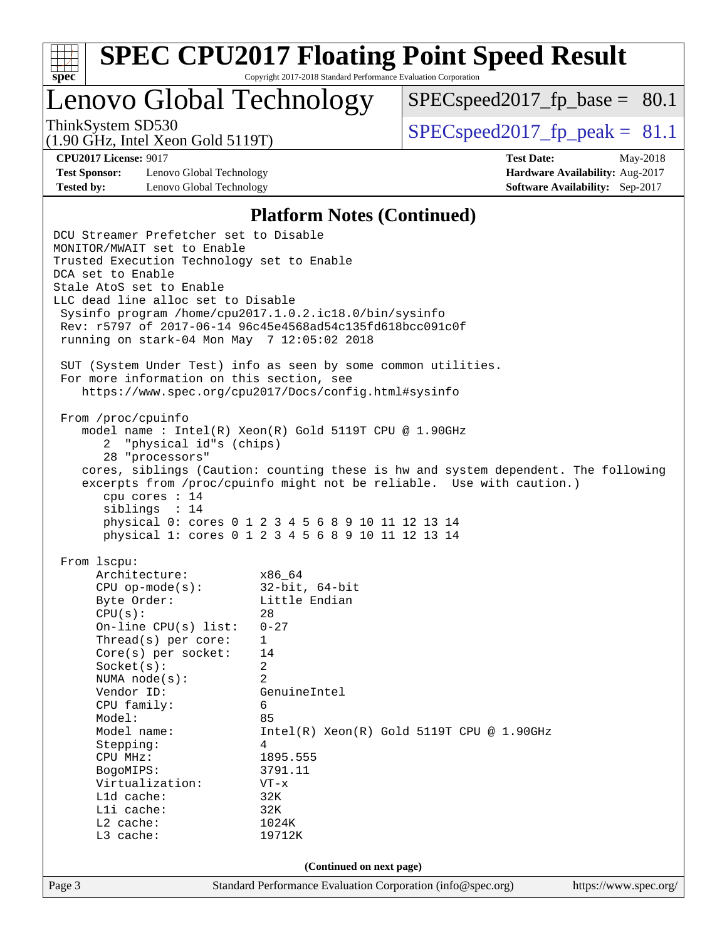| c | е |  |
|---|---|--|

Lenovo Global Technology

 $SPECspeed2017_fp\_base = 80.1$ 

(1.90 GHz, Intel Xeon Gold 5119T)

ThinkSystem SD530  $SPEC speed2017$  fp\_peak = 81.1

**[Test Sponsor:](http://www.spec.org/auto/cpu2017/Docs/result-fields.html#TestSponsor)** Lenovo Global Technology **[Hardware Availability:](http://www.spec.org/auto/cpu2017/Docs/result-fields.html#HardwareAvailability)** Aug-2017 **[Tested by:](http://www.spec.org/auto/cpu2017/Docs/result-fields.html#Testedby)** Lenovo Global Technology **[Software Availability:](http://www.spec.org/auto/cpu2017/Docs/result-fields.html#SoftwareAvailability)** Sep-2017

**[CPU2017 License:](http://www.spec.org/auto/cpu2017/Docs/result-fields.html#CPU2017License)** 9017 **[Test Date:](http://www.spec.org/auto/cpu2017/Docs/result-fields.html#TestDate)** May-2018

#### **[Platform Notes \(Continued\)](http://www.spec.org/auto/cpu2017/Docs/result-fields.html#PlatformNotes)**

Page 3 Standard Performance Evaluation Corporation [\(info@spec.org\)](mailto:info@spec.org) <https://www.spec.org/> DCU Streamer Prefetcher set to Disable MONITOR/MWAIT set to Enable Trusted Execution Technology set to Enable DCA set to Enable Stale AtoS set to Enable LLC dead line alloc set to Disable Sysinfo program /home/cpu2017.1.0.2.ic18.0/bin/sysinfo Rev: r5797 of 2017-06-14 96c45e4568ad54c135fd618bcc091c0f running on stark-04 Mon May 7 12:05:02 2018 SUT (System Under Test) info as seen by some common utilities. For more information on this section, see <https://www.spec.org/cpu2017/Docs/config.html#sysinfo> From /proc/cpuinfo model name : Intel(R) Xeon(R) Gold 5119T CPU @ 1.90GHz 2 "physical id"s (chips) 28 "processors" cores, siblings (Caution: counting these is hw and system dependent. The following excerpts from /proc/cpuinfo might not be reliable. Use with caution.) cpu cores : 14 siblings : 14 physical 0: cores 0 1 2 3 4 5 6 8 9 10 11 12 13 14 physical 1: cores 0 1 2 3 4 5 6 8 9 10 11 12 13 14 From lscpu: Architecture: x86\_64 CPU op-mode(s): 32-bit, 64-bit Byte Order: Little Endian  $CPU(s):$  28 On-line CPU(s) list: 0-27 Thread(s) per core: 1 Core(s) per socket: 14 Socket(s): 2 NUMA node(s): 2 Vendor ID: GenuineIntel CPU family: 6 Model: 85 Model name:  $Intel(R)$  Xeon(R) Gold 5119T CPU @ 1.90GHz Stepping: 4 CPU MHz: 1895.555 BogoMIPS: 3791.11 Virtualization: VT-x L1d cache: 32K<br>
L1i cache: 32K  $L1i$  cache: L2 cache: 1024K L3 cache: 19712K **(Continued on next page)**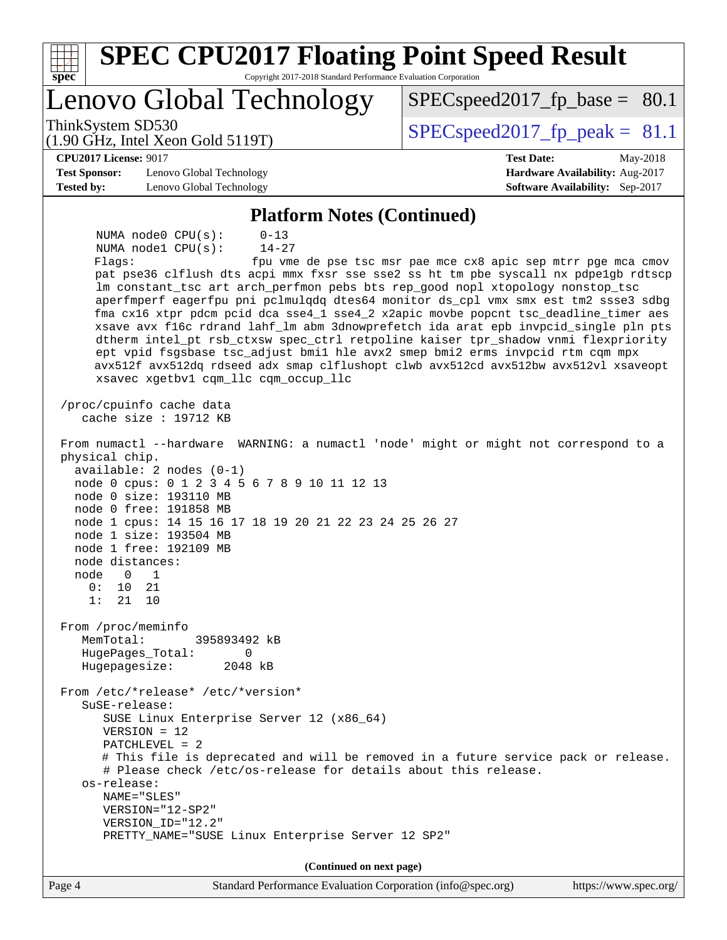| <b>SPEC CPU2017 Floating Point Speed Result</b><br>Copyright 2017-2018 Standard Performance Evaluation Corporation<br>spec <sup>®</sup>                                                                                                                                                                                                                                                                                                                                                                                                                                                                                                                                                                                                                                                                                                                                                                                                                                                                                                                                                                                                                                                                                                                                                                                                                                                                                                                                                                                             |                                                               |
|-------------------------------------------------------------------------------------------------------------------------------------------------------------------------------------------------------------------------------------------------------------------------------------------------------------------------------------------------------------------------------------------------------------------------------------------------------------------------------------------------------------------------------------------------------------------------------------------------------------------------------------------------------------------------------------------------------------------------------------------------------------------------------------------------------------------------------------------------------------------------------------------------------------------------------------------------------------------------------------------------------------------------------------------------------------------------------------------------------------------------------------------------------------------------------------------------------------------------------------------------------------------------------------------------------------------------------------------------------------------------------------------------------------------------------------------------------------------------------------------------------------------------------------|---------------------------------------------------------------|
| Lenovo Global Technology                                                                                                                                                                                                                                                                                                                                                                                                                                                                                                                                                                                                                                                                                                                                                                                                                                                                                                                                                                                                                                                                                                                                                                                                                                                                                                                                                                                                                                                                                                            | $SPEC speed2017_f p\_base = 80.1$                             |
| ThinkSystem SD530<br>$(1.90 \text{ GHz}, \text{Intel Xeon Gold } 5119 \text{T})$                                                                                                                                                                                                                                                                                                                                                                                                                                                                                                                                                                                                                                                                                                                                                                                                                                                                                                                                                                                                                                                                                                                                                                                                                                                                                                                                                                                                                                                    | $SPEC speed2017_fp\_peak = 81.1$                              |
| <b>CPU2017 License: 9017</b>                                                                                                                                                                                                                                                                                                                                                                                                                                                                                                                                                                                                                                                                                                                                                                                                                                                                                                                                                                                                                                                                                                                                                                                                                                                                                                                                                                                                                                                                                                        | <b>Test Date:</b><br>May-2018                                 |
| <b>Test Sponsor:</b><br>Lenovo Global Technology                                                                                                                                                                                                                                                                                                                                                                                                                                                                                                                                                                                                                                                                                                                                                                                                                                                                                                                                                                                                                                                                                                                                                                                                                                                                                                                                                                                                                                                                                    | Hardware Availability: Aug-2017                               |
| Tested by:<br>Lenovo Global Technology                                                                                                                                                                                                                                                                                                                                                                                                                                                                                                                                                                                                                                                                                                                                                                                                                                                                                                                                                                                                                                                                                                                                                                                                                                                                                                                                                                                                                                                                                              | Software Availability: Sep-2017                               |
| <b>Platform Notes (Continued)</b>                                                                                                                                                                                                                                                                                                                                                                                                                                                                                                                                                                                                                                                                                                                                                                                                                                                                                                                                                                                                                                                                                                                                                                                                                                                                                                                                                                                                                                                                                                   |                                                               |
| NUMA node0 CPU(s):<br>$0 - 13$<br>$14 - 27$<br>NUMA nodel CPU(s):<br>Flags:<br>pat pse36 clflush dts acpi mmx fxsr sse sse2 ss ht tm pbe syscall nx pdpe1gb rdtscp<br>lm constant_tsc art arch_perfmon pebs bts rep_good nopl xtopology nonstop_tsc<br>aperfmperf eagerfpu pni pclmulqdq dtes64 monitor ds_cpl vmx smx est tm2 ssse3 sdbg<br>fma cx16 xtpr pdcm pcid dca sse4_1 sse4_2 x2apic movbe popcnt tsc_deadline_timer aes<br>xsave avx f16c rdrand lahf_lm abm 3dnowprefetch ida arat epb invpcid_single pln pts<br>dtherm intel_pt rsb_ctxsw spec_ctrl retpoline kaiser tpr_shadow vnmi flexpriority<br>ept vpid fsgsbase tsc_adjust bmil hle avx2 smep bmi2 erms invpcid rtm cqm mpx<br>avx512f avx512dq rdseed adx smap clflushopt clwb avx512cd avx512bw avx512vl xsaveopt<br>xsavec xgetbvl cqm_llc cqm_occup_llc<br>/proc/cpuinfo cache data<br>cache size : $19712$ KB<br>From numactl --hardware WARNING: a numactl 'node' might or might not correspond to a<br>physical chip.<br>$available: 2 nodes (0-1)$<br>node 0 cpus: 0 1 2 3 4 5 6 7 8 9 10 11 12 13<br>node 0 size: 193110 MB<br>node 0 free: 191858 MB<br>node 1 cpus: 14 15 16 17 18 19 20 21 22 23 24 25 26 27<br>node 1 size: 193504 MB<br>node 1 free: 192109 MB<br>node distances:<br>node<br>0<br>1<br>0:<br>10<br>21<br>1:<br>21<br>10<br>From /proc/meminfo<br>MemTotal:<br>395893492 kB<br>HugePages_Total:<br>0<br>2048 kB<br>Hugepagesize:<br>From /etc/*release* /etc/*version*<br>SuSE-release:<br>SUSE Linux Enterprise Server 12 (x86_64) | fpu vme de pse tsc msr pae mce cx8 apic sep mtrr pge mca cmov |
| $VERSION = 12$<br>$PATCHLEVEL = 2$<br># This file is deprecated and will be removed in a future service pack or release.<br># Please check /etc/os-release for details about this release.<br>os-release:<br>NAME="SLES"<br>VERSION="12-SP2"                                                                                                                                                                                                                                                                                                                                                                                                                                                                                                                                                                                                                                                                                                                                                                                                                                                                                                                                                                                                                                                                                                                                                                                                                                                                                        |                                                               |
| VERSION_ID="12.2"                                                                                                                                                                                                                                                                                                                                                                                                                                                                                                                                                                                                                                                                                                                                                                                                                                                                                                                                                                                                                                                                                                                                                                                                                                                                                                                                                                                                                                                                                                                   |                                                               |
| PRETTY_NAME="SUSE Linux Enterprise Server 12 SP2"                                                                                                                                                                                                                                                                                                                                                                                                                                                                                                                                                                                                                                                                                                                                                                                                                                                                                                                                                                                                                                                                                                                                                                                                                                                                                                                                                                                                                                                                                   |                                                               |
| (Continued on next page)                                                                                                                                                                                                                                                                                                                                                                                                                                                                                                                                                                                                                                                                                                                                                                                                                                                                                                                                                                                                                                                                                                                                                                                                                                                                                                                                                                                                                                                                                                            |                                                               |
| Page 4<br>Standard Performance Evaluation Corporation (info@spec.org)                                                                                                                                                                                                                                                                                                                                                                                                                                                                                                                                                                                                                                                                                                                                                                                                                                                                                                                                                                                                                                                                                                                                                                                                                                                                                                                                                                                                                                                               | https://www.spec.org/                                         |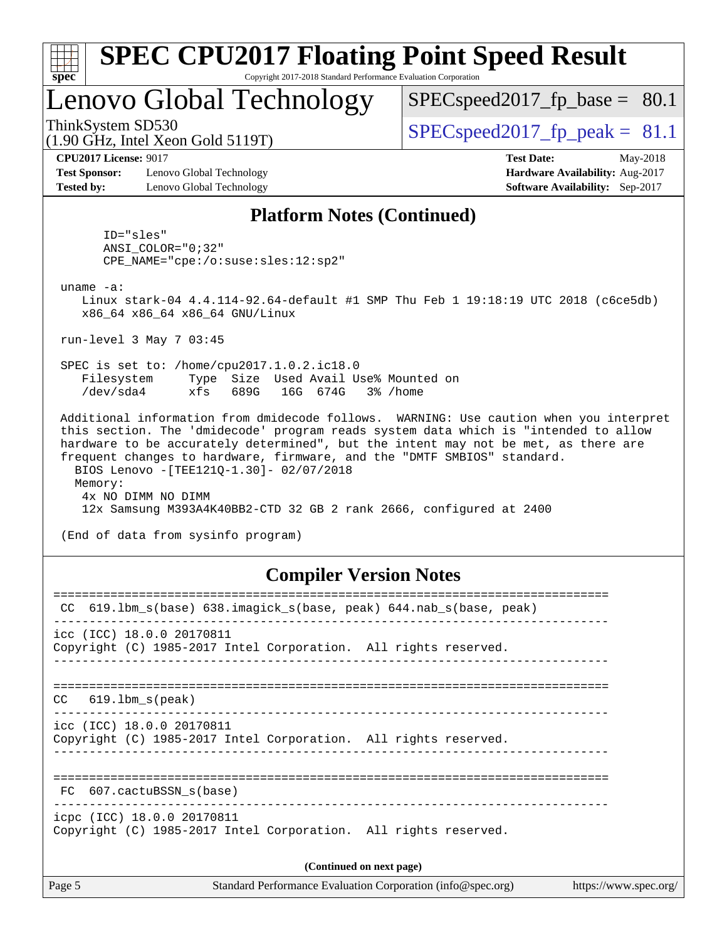| <b>SPEC CPU2017 Floating Point Speed Result</b><br>Copyright 2017-2018 Standard Performance Evaluation Corporation<br>$spec^*$                                                                                                                                                                                                                                                             |                                  |  |  |  |  |  |  |
|--------------------------------------------------------------------------------------------------------------------------------------------------------------------------------------------------------------------------------------------------------------------------------------------------------------------------------------------------------------------------------------------|----------------------------------|--|--|--|--|--|--|
| Lenovo Global Technology                                                                                                                                                                                                                                                                                                                                                                   | $SPEC speed2017_fp\_base = 80.1$ |  |  |  |  |  |  |
| ThinkSystem SD530<br>$(1.90 \text{ GHz}, \text{Intel Xeon Gold } 5119 \text{T})$                                                                                                                                                                                                                                                                                                           | $SPEC speed2017_fp\_peak = 81.1$ |  |  |  |  |  |  |
| <b>CPU2017 License: 9017</b>                                                                                                                                                                                                                                                                                                                                                               | <b>Test Date:</b><br>May-2018    |  |  |  |  |  |  |
| <b>Test Sponsor:</b><br>Lenovo Global Technology                                                                                                                                                                                                                                                                                                                                           | Hardware Availability: Aug-2017  |  |  |  |  |  |  |
| <b>Tested by:</b><br>Lenovo Global Technology                                                                                                                                                                                                                                                                                                                                              | Software Availability: Sep-2017  |  |  |  |  |  |  |
| <b>Platform Notes (Continued)</b>                                                                                                                                                                                                                                                                                                                                                          |                                  |  |  |  |  |  |  |
| ID="sles"<br>$ANSI$ _COLOR=" $0:32$ "<br>CPE_NAME="cpe:/o:suse:sles:12:sp2"                                                                                                                                                                                                                                                                                                                |                                  |  |  |  |  |  |  |
| uname $-a$ :<br>Linux stark-04 4.4.114-92.64-default #1 SMP Thu Feb 1 19:18:19 UTC 2018 (c6ce5db)<br>x86_64 x86_64 x86_64 GNU/Linux                                                                                                                                                                                                                                                        |                                  |  |  |  |  |  |  |
| run-level 3 May 7 03:45                                                                                                                                                                                                                                                                                                                                                                    |                                  |  |  |  |  |  |  |
| SPEC is set to: /home/cpu2017.1.0.2.ic18.0<br>Type Size Used Avail Use% Mounted on<br>Filesystem<br>/dev/sda4<br>689G<br>16G 674G<br>xfs<br>3% /home                                                                                                                                                                                                                                       |                                  |  |  |  |  |  |  |
| Additional information from dmidecode follows. WARNING: Use caution when you interpret<br>this section. The 'dmidecode' program reads system data which is "intended to allow<br>hardware to be accurately determined", but the intent may not be met, as there are<br>frequent changes to hardware, firmware, and the "DMTF SMBIOS" standard.<br>BIOS Lenovo - [TEE121Q-1.30]- 02/07/2018 |                                  |  |  |  |  |  |  |
| Memory:<br>4x NO DIMM NO DIMM                                                                                                                                                                                                                                                                                                                                                              |                                  |  |  |  |  |  |  |
| 12x Samsung M393A4K40BB2-CTD 32 GB 2 rank 2666, configured at 2400                                                                                                                                                                                                                                                                                                                         |                                  |  |  |  |  |  |  |
| (End of data from sysinfo program)                                                                                                                                                                                                                                                                                                                                                         |                                  |  |  |  |  |  |  |
| $C2$ $\cdots$ iloy $V2$ $\cdots$ $N2$ $\cdots$                                                                                                                                                                                                                                                                                                                                             |                                  |  |  |  |  |  |  |

#### **[Compiler Version Notes](http://www.spec.org/auto/cpu2017/Docs/result-fields.html#CompilerVersionNotes)**

| 619.1bm_s(base) 638.imagick_s(base, peak) 644.nab_s(base, peak)<br>CC                         |  |  |  |  |  |  |
|-----------------------------------------------------------------------------------------------|--|--|--|--|--|--|
| icc (ICC) 18.0.0 20170811<br>Copyright (C) 1985-2017 Intel Corporation. All rights reserved.  |  |  |  |  |  |  |
| $CC$ 619.1bm $s$ (peak)                                                                       |  |  |  |  |  |  |
| icc (ICC) 18.0.0 20170811<br>Copyright (C) 1985-2017 Intel Corporation. All rights reserved.  |  |  |  |  |  |  |
| FC 607.cactuBSSN s(base)                                                                      |  |  |  |  |  |  |
| icpc (ICC) 18.0.0 20170811<br>Copyright (C) 1985-2017 Intel Corporation. All rights reserved. |  |  |  |  |  |  |
| (Continued on next page)                                                                      |  |  |  |  |  |  |
|                                                                                               |  |  |  |  |  |  |

Page 5 Standard Performance Evaluation Corporation [\(info@spec.org\)](mailto:info@spec.org) <https://www.spec.org/>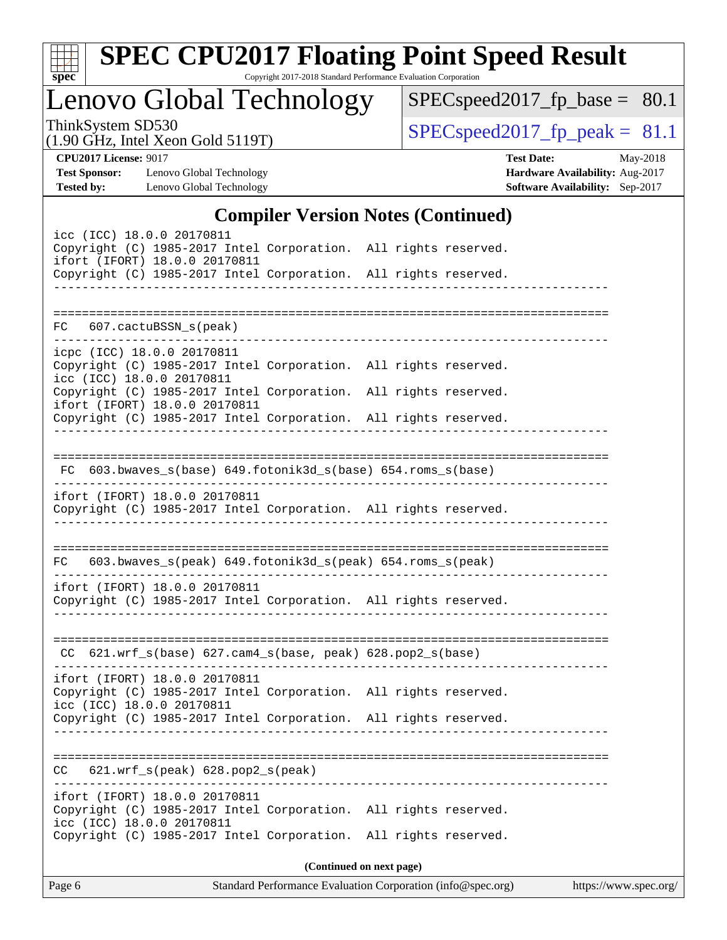| v.<br>c | t. |  |
|---------|----|--|

# **[SPEC CPU2017 Floating Point Speed Result](http://www.spec.org/auto/cpu2017/Docs/result-fields.html#SPECCPU2017FloatingPointSpeedResult)**

Copyright 2017-2018 Standard Performance Evaluation Corporation

Lenovo Global Technology

[SPECspeed2017\\_fp\\_base =](http://www.spec.org/auto/cpu2017/Docs/result-fields.html#SPECspeed2017fpbase) 80.1

(1.90 GHz, Intel Xeon Gold 5119T)

ThinkSystem SD530<br>(1.90 GHz, Intel Year Gold 5119T) [SPECspeed2017\\_fp\\_peak =](http://www.spec.org/auto/cpu2017/Docs/result-fields.html#SPECspeed2017fppeak)  $81.1$ 

**[Tested by:](http://www.spec.org/auto/cpu2017/Docs/result-fields.html#Testedby)** Lenovo Global Technology **[Software Availability:](http://www.spec.org/auto/cpu2017/Docs/result-fields.html#SoftwareAvailability)** Sep-2017

**[CPU2017 License:](http://www.spec.org/auto/cpu2017/Docs/result-fields.html#CPU2017License)** 9017 **[Test Date:](http://www.spec.org/auto/cpu2017/Docs/result-fields.html#TestDate)** May-2018 **[Test Sponsor:](http://www.spec.org/auto/cpu2017/Docs/result-fields.html#TestSponsor)** Lenovo Global Technology **[Hardware Availability:](http://www.spec.org/auto/cpu2017/Docs/result-fields.html#HardwareAvailability)** Aug-2017

## **[Compiler Version Notes \(Continued\)](http://www.spec.org/auto/cpu2017/Docs/result-fields.html#CompilerVersionNotes)**

| $\frac{1}{2}$<br>icc (ICC) 18.0.0 20170811<br>Copyright (C) 1985-2017 Intel Corporation. All rights reserved.<br>ifort (IFORT) 18.0.0 20170811<br>Copyright (C) 1985-2017 Intel Corporation. All rights reserved. |  |
|-------------------------------------------------------------------------------------------------------------------------------------------------------------------------------------------------------------------|--|
| FC 607.cactuBSSN_s(peak)                                                                                                                                                                                          |  |
| icpc (ICC) 18.0.0 20170811<br>Copyright (C) 1985-2017 Intel Corporation. All rights reserved.<br>icc (ICC) 18.0.0 20170811<br>Copyright (C) 1985-2017 Intel Corporation. All rights reserved.                     |  |
| ifort (IFORT) 18.0.0 20170811<br>Copyright (C) 1985-2017 Intel Corporation. All rights reserved.                                                                                                                  |  |
| FC 603.bwaves_s(base) 649.fotonik3d_s(base) 654.roms_s(base)<br>---------------------<br>ifort (IFORT) 18.0.0 20170811<br>Copyright (C) 1985-2017 Intel Corporation. All rights reserved.                         |  |
|                                                                                                                                                                                                                   |  |
| 603.bwaves_s(peak) 649.fotonik3d_s(peak) 654.roms_s(peak)<br>FC                                                                                                                                                   |  |
| ifort (IFORT) 18.0.0 20170811<br>Copyright (C) 1985-2017 Intel Corporation. All rights reserved.                                                                                                                  |  |
| CC 621.wrf_s(base) 627.cam4_s(base, peak) 628.pop2_s(base)                                                                                                                                                        |  |
| ifort (IFORT) 18.0.0 20170811<br>Copyright (C) 1985-2017 Intel Corporation. All rights reserved.<br>icc (ICC) 18.0.0 20170811                                                                                     |  |
| Copyright (C) 1985-2017 Intel Corporation. All rights reserved.                                                                                                                                                   |  |
| $621.wrf_s(peak) 628.pop2_s(peak)$<br>CC                                                                                                                                                                          |  |
| ifort (IFORT) 18.0.0 20170811<br>Copyright (C) 1985-2017 Intel Corporation. All rights reserved.<br>icc (ICC) 18.0.0 20170811<br>Copyright (C) 1985-2017 Intel Corporation. All rights reserved.                  |  |
| (Continued on next page)                                                                                                                                                                                          |  |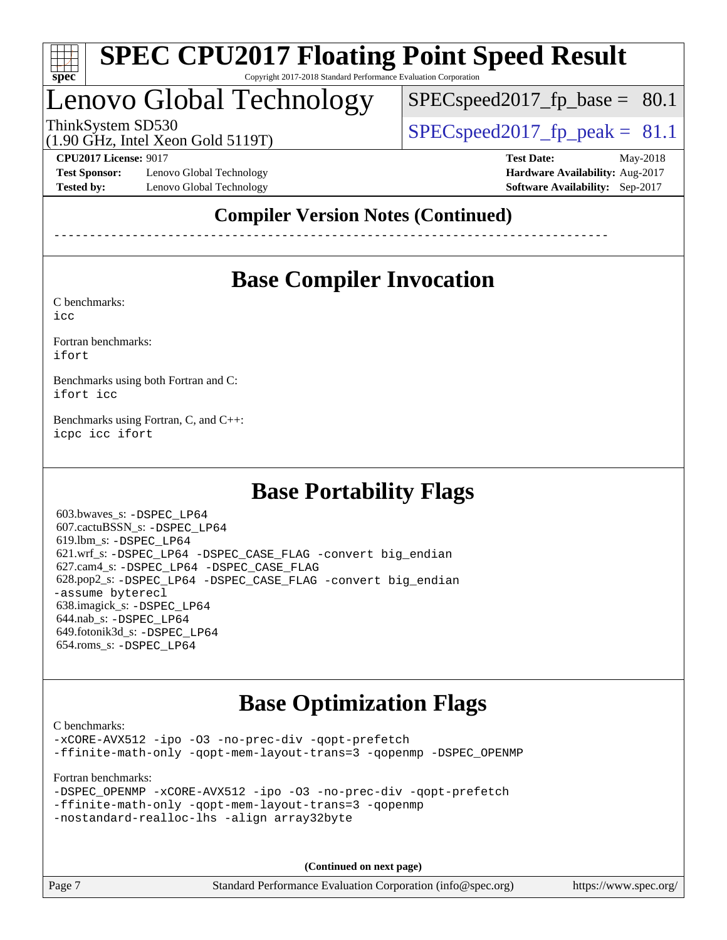

# Lenovo Global Technology

 $SPECspeed2017_fp\_base = 80.1$ 

(1.90 GHz, Intel Xeon Gold 5119T)

ThinkSystem SD530  $SPEC speed2017$  fp\_peak = 81.1

**[Test Sponsor:](http://www.spec.org/auto/cpu2017/Docs/result-fields.html#TestSponsor)** Lenovo Global Technology **[Hardware Availability:](http://www.spec.org/auto/cpu2017/Docs/result-fields.html#HardwareAvailability)** Aug-2017 **[Tested by:](http://www.spec.org/auto/cpu2017/Docs/result-fields.html#Testedby)** Lenovo Global Technology **[Software Availability:](http://www.spec.org/auto/cpu2017/Docs/result-fields.html#SoftwareAvailability)** Sep-2017

**[CPU2017 License:](http://www.spec.org/auto/cpu2017/Docs/result-fields.html#CPU2017License)** 9017 **[Test Date:](http://www.spec.org/auto/cpu2017/Docs/result-fields.html#TestDate)** May-2018

## **[Compiler Version Notes \(Continued\)](http://www.spec.org/auto/cpu2017/Docs/result-fields.html#CompilerVersionNotes)**

------------------------------------------------------------------------------

## **[Base Compiler Invocation](http://www.spec.org/auto/cpu2017/Docs/result-fields.html#BaseCompilerInvocation)**

[C benchmarks](http://www.spec.org/auto/cpu2017/Docs/result-fields.html#Cbenchmarks):

[icc](http://www.spec.org/cpu2017/results/res2018q2/cpu2017-20180513-05483.flags.html#user_CCbase_intel_icc_18.0_66fc1ee009f7361af1fbd72ca7dcefbb700085f36577c54f309893dd4ec40d12360134090235512931783d35fd58c0460139e722d5067c5574d8eaf2b3e37e92)

[Fortran benchmarks](http://www.spec.org/auto/cpu2017/Docs/result-fields.html#Fortranbenchmarks): [ifort](http://www.spec.org/cpu2017/results/res2018q2/cpu2017-20180513-05483.flags.html#user_FCbase_intel_ifort_18.0_8111460550e3ca792625aed983ce982f94888b8b503583aa7ba2b8303487b4d8a21a13e7191a45c5fd58ff318f48f9492884d4413fa793fd88dd292cad7027ca)

[Benchmarks using both Fortran and C](http://www.spec.org/auto/cpu2017/Docs/result-fields.html#BenchmarksusingbothFortranandC): [ifort](http://www.spec.org/cpu2017/results/res2018q2/cpu2017-20180513-05483.flags.html#user_CC_FCbase_intel_ifort_18.0_8111460550e3ca792625aed983ce982f94888b8b503583aa7ba2b8303487b4d8a21a13e7191a45c5fd58ff318f48f9492884d4413fa793fd88dd292cad7027ca) [icc](http://www.spec.org/cpu2017/results/res2018q2/cpu2017-20180513-05483.flags.html#user_CC_FCbase_intel_icc_18.0_66fc1ee009f7361af1fbd72ca7dcefbb700085f36577c54f309893dd4ec40d12360134090235512931783d35fd58c0460139e722d5067c5574d8eaf2b3e37e92)

[Benchmarks using Fortran, C, and C++:](http://www.spec.org/auto/cpu2017/Docs/result-fields.html#BenchmarksusingFortranCandCXX) [icpc](http://www.spec.org/cpu2017/results/res2018q2/cpu2017-20180513-05483.flags.html#user_CC_CXX_FCbase_intel_icpc_18.0_c510b6838c7f56d33e37e94d029a35b4a7bccf4766a728ee175e80a419847e808290a9b78be685c44ab727ea267ec2f070ec5dc83b407c0218cded6866a35d07) [icc](http://www.spec.org/cpu2017/results/res2018q2/cpu2017-20180513-05483.flags.html#user_CC_CXX_FCbase_intel_icc_18.0_66fc1ee009f7361af1fbd72ca7dcefbb700085f36577c54f309893dd4ec40d12360134090235512931783d35fd58c0460139e722d5067c5574d8eaf2b3e37e92) [ifort](http://www.spec.org/cpu2017/results/res2018q2/cpu2017-20180513-05483.flags.html#user_CC_CXX_FCbase_intel_ifort_18.0_8111460550e3ca792625aed983ce982f94888b8b503583aa7ba2b8303487b4d8a21a13e7191a45c5fd58ff318f48f9492884d4413fa793fd88dd292cad7027ca)

## **[Base Portability Flags](http://www.spec.org/auto/cpu2017/Docs/result-fields.html#BasePortabilityFlags)**

 603.bwaves\_s: [-DSPEC\\_LP64](http://www.spec.org/cpu2017/results/res2018q2/cpu2017-20180513-05483.flags.html#suite_basePORTABILITY603_bwaves_s_DSPEC_LP64) 607.cactuBSSN\_s: [-DSPEC\\_LP64](http://www.spec.org/cpu2017/results/res2018q2/cpu2017-20180513-05483.flags.html#suite_basePORTABILITY607_cactuBSSN_s_DSPEC_LP64) 619.lbm\_s: [-DSPEC\\_LP64](http://www.spec.org/cpu2017/results/res2018q2/cpu2017-20180513-05483.flags.html#suite_basePORTABILITY619_lbm_s_DSPEC_LP64) 621.wrf\_s: [-DSPEC\\_LP64](http://www.spec.org/cpu2017/results/res2018q2/cpu2017-20180513-05483.flags.html#suite_basePORTABILITY621_wrf_s_DSPEC_LP64) [-DSPEC\\_CASE\\_FLAG](http://www.spec.org/cpu2017/results/res2018q2/cpu2017-20180513-05483.flags.html#b621.wrf_s_baseCPORTABILITY_DSPEC_CASE_FLAG) [-convert big\\_endian](http://www.spec.org/cpu2017/results/res2018q2/cpu2017-20180513-05483.flags.html#user_baseFPORTABILITY621_wrf_s_convert_big_endian_c3194028bc08c63ac5d04de18c48ce6d347e4e562e8892b8bdbdc0214820426deb8554edfa529a3fb25a586e65a3d812c835984020483e7e73212c4d31a38223) 627.cam4\_s: [-DSPEC\\_LP64](http://www.spec.org/cpu2017/results/res2018q2/cpu2017-20180513-05483.flags.html#suite_basePORTABILITY627_cam4_s_DSPEC_LP64) [-DSPEC\\_CASE\\_FLAG](http://www.spec.org/cpu2017/results/res2018q2/cpu2017-20180513-05483.flags.html#b627.cam4_s_baseCPORTABILITY_DSPEC_CASE_FLAG) 628.pop2\_s: [-DSPEC\\_LP64](http://www.spec.org/cpu2017/results/res2018q2/cpu2017-20180513-05483.flags.html#suite_basePORTABILITY628_pop2_s_DSPEC_LP64) [-DSPEC\\_CASE\\_FLAG](http://www.spec.org/cpu2017/results/res2018q2/cpu2017-20180513-05483.flags.html#b628.pop2_s_baseCPORTABILITY_DSPEC_CASE_FLAG) [-convert big\\_endian](http://www.spec.org/cpu2017/results/res2018q2/cpu2017-20180513-05483.flags.html#user_baseFPORTABILITY628_pop2_s_convert_big_endian_c3194028bc08c63ac5d04de18c48ce6d347e4e562e8892b8bdbdc0214820426deb8554edfa529a3fb25a586e65a3d812c835984020483e7e73212c4d31a38223) [-assume byterecl](http://www.spec.org/cpu2017/results/res2018q2/cpu2017-20180513-05483.flags.html#user_baseFPORTABILITY628_pop2_s_assume_byterecl_7e47d18b9513cf18525430bbf0f2177aa9bf368bc7a059c09b2c06a34b53bd3447c950d3f8d6c70e3faf3a05c8557d66a5798b567902e8849adc142926523472) 638.imagick\_s: [-DSPEC\\_LP64](http://www.spec.org/cpu2017/results/res2018q2/cpu2017-20180513-05483.flags.html#suite_basePORTABILITY638_imagick_s_DSPEC_LP64) 644.nab\_s: [-DSPEC\\_LP64](http://www.spec.org/cpu2017/results/res2018q2/cpu2017-20180513-05483.flags.html#suite_basePORTABILITY644_nab_s_DSPEC_LP64) 649.fotonik3d\_s: [-DSPEC\\_LP64](http://www.spec.org/cpu2017/results/res2018q2/cpu2017-20180513-05483.flags.html#suite_basePORTABILITY649_fotonik3d_s_DSPEC_LP64) 654.roms\_s: [-DSPEC\\_LP64](http://www.spec.org/cpu2017/results/res2018q2/cpu2017-20180513-05483.flags.html#suite_basePORTABILITY654_roms_s_DSPEC_LP64)

## **[Base Optimization Flags](http://www.spec.org/auto/cpu2017/Docs/result-fields.html#BaseOptimizationFlags)**

[C benchmarks](http://www.spec.org/auto/cpu2017/Docs/result-fields.html#Cbenchmarks): [-xCORE-AVX512](http://www.spec.org/cpu2017/results/res2018q2/cpu2017-20180513-05483.flags.html#user_CCbase_f-xCORE-AVX512) [-ipo](http://www.spec.org/cpu2017/results/res2018q2/cpu2017-20180513-05483.flags.html#user_CCbase_f-ipo) [-O3](http://www.spec.org/cpu2017/results/res2018q2/cpu2017-20180513-05483.flags.html#user_CCbase_f-O3) [-no-prec-div](http://www.spec.org/cpu2017/results/res2018q2/cpu2017-20180513-05483.flags.html#user_CCbase_f-no-prec-div) [-qopt-prefetch](http://www.spec.org/cpu2017/results/res2018q2/cpu2017-20180513-05483.flags.html#user_CCbase_f-qopt-prefetch) [-ffinite-math-only](http://www.spec.org/cpu2017/results/res2018q2/cpu2017-20180513-05483.flags.html#user_CCbase_f_finite_math_only_cb91587bd2077682c4b38af759c288ed7c732db004271a9512da14a4f8007909a5f1427ecbf1a0fb78ff2a814402c6114ac565ca162485bbcae155b5e4258871) [-qopt-mem-layout-trans=3](http://www.spec.org/cpu2017/results/res2018q2/cpu2017-20180513-05483.flags.html#user_CCbase_f-qopt-mem-layout-trans_de80db37974c74b1f0e20d883f0b675c88c3b01e9d123adea9b28688d64333345fb62bc4a798493513fdb68f60282f9a726aa07f478b2f7113531aecce732043) [-qopenmp](http://www.spec.org/cpu2017/results/res2018q2/cpu2017-20180513-05483.flags.html#user_CCbase_qopenmp_16be0c44f24f464004c6784a7acb94aca937f053568ce72f94b139a11c7c168634a55f6653758ddd83bcf7b8463e8028bb0b48b77bcddc6b78d5d95bb1df2967) [-DSPEC\\_OPENMP](http://www.spec.org/cpu2017/results/res2018q2/cpu2017-20180513-05483.flags.html#suite_CCbase_DSPEC_OPENMP)

[Fortran benchmarks](http://www.spec.org/auto/cpu2017/Docs/result-fields.html#Fortranbenchmarks):

|  | -DSPEC OPENMP -xCORE-AVX512 -ipo -03 -no-prec-div -gopt-prefetch |  |  |  |
|--|------------------------------------------------------------------|--|--|--|
|  | -ffinite-math-only -qopt-mem-layout-trans=3 -qopenmp             |  |  |  |
|  | -nostandard-realloc-lhs -align array32byte                       |  |  |  |

**(Continued on next page)**

Page 7 Standard Performance Evaluation Corporation [\(info@spec.org\)](mailto:info@spec.org) <https://www.spec.org/>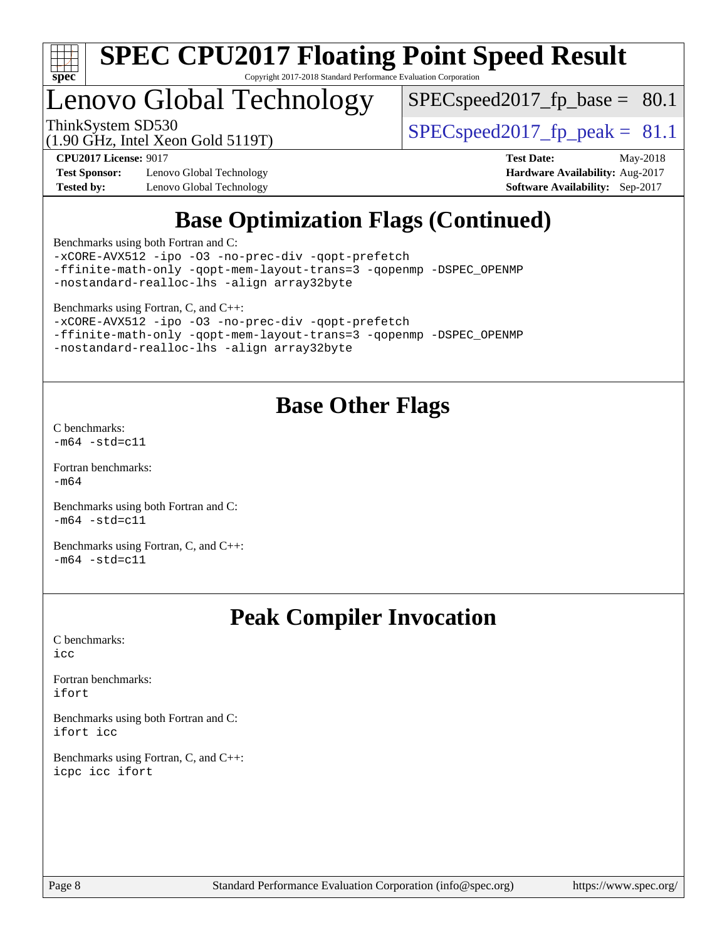

# Lenovo Global Technology

 $SPECspeed2017_fp\_base = 80.1$ 

(1.90 GHz, Intel Xeon Gold 5119T)

ThinkSystem SD530<br>(1.90 GHz, Intel Year Gold 5119T)  $\begin{array}{r} | \text{SPEC speed2017\_fp\_peak = 81.1} \end{array}$ 

**[Test Sponsor:](http://www.spec.org/auto/cpu2017/Docs/result-fields.html#TestSponsor)** Lenovo Global Technology **[Hardware Availability:](http://www.spec.org/auto/cpu2017/Docs/result-fields.html#HardwareAvailability)** Aug-2017 **[Tested by:](http://www.spec.org/auto/cpu2017/Docs/result-fields.html#Testedby)** Lenovo Global Technology **[Software Availability:](http://www.spec.org/auto/cpu2017/Docs/result-fields.html#SoftwareAvailability)** Sep-2017

**[CPU2017 License:](http://www.spec.org/auto/cpu2017/Docs/result-fields.html#CPU2017License)** 9017 **[Test Date:](http://www.spec.org/auto/cpu2017/Docs/result-fields.html#TestDate)** May-2018

## **[Base Optimization Flags \(Continued\)](http://www.spec.org/auto/cpu2017/Docs/result-fields.html#BaseOptimizationFlags)**

[Benchmarks using both Fortran and C](http://www.spec.org/auto/cpu2017/Docs/result-fields.html#BenchmarksusingbothFortranandC):

[-xCORE-AVX512](http://www.spec.org/cpu2017/results/res2018q2/cpu2017-20180513-05483.flags.html#user_CC_FCbase_f-xCORE-AVX512) [-ipo](http://www.spec.org/cpu2017/results/res2018q2/cpu2017-20180513-05483.flags.html#user_CC_FCbase_f-ipo) [-O3](http://www.spec.org/cpu2017/results/res2018q2/cpu2017-20180513-05483.flags.html#user_CC_FCbase_f-O3) [-no-prec-div](http://www.spec.org/cpu2017/results/res2018q2/cpu2017-20180513-05483.flags.html#user_CC_FCbase_f-no-prec-div) [-qopt-prefetch](http://www.spec.org/cpu2017/results/res2018q2/cpu2017-20180513-05483.flags.html#user_CC_FCbase_f-qopt-prefetch) [-ffinite-math-only](http://www.spec.org/cpu2017/results/res2018q2/cpu2017-20180513-05483.flags.html#user_CC_FCbase_f_finite_math_only_cb91587bd2077682c4b38af759c288ed7c732db004271a9512da14a4f8007909a5f1427ecbf1a0fb78ff2a814402c6114ac565ca162485bbcae155b5e4258871) [-qopt-mem-layout-trans=3](http://www.spec.org/cpu2017/results/res2018q2/cpu2017-20180513-05483.flags.html#user_CC_FCbase_f-qopt-mem-layout-trans_de80db37974c74b1f0e20d883f0b675c88c3b01e9d123adea9b28688d64333345fb62bc4a798493513fdb68f60282f9a726aa07f478b2f7113531aecce732043) [-qopenmp](http://www.spec.org/cpu2017/results/res2018q2/cpu2017-20180513-05483.flags.html#user_CC_FCbase_qopenmp_16be0c44f24f464004c6784a7acb94aca937f053568ce72f94b139a11c7c168634a55f6653758ddd83bcf7b8463e8028bb0b48b77bcddc6b78d5d95bb1df2967) [-DSPEC\\_OPENMP](http://www.spec.org/cpu2017/results/res2018q2/cpu2017-20180513-05483.flags.html#suite_CC_FCbase_DSPEC_OPENMP) [-nostandard-realloc-lhs](http://www.spec.org/cpu2017/results/res2018q2/cpu2017-20180513-05483.flags.html#user_CC_FCbase_f_2003_std_realloc_82b4557e90729c0f113870c07e44d33d6f5a304b4f63d4c15d2d0f1fab99f5daaed73bdb9275d9ae411527f28b936061aa8b9c8f2d63842963b95c9dd6426b8a) [-align array32byte](http://www.spec.org/cpu2017/results/res2018q2/cpu2017-20180513-05483.flags.html#user_CC_FCbase_align_array32byte_b982fe038af199962ba9a80c053b8342c548c85b40b8e86eb3cc33dee0d7986a4af373ac2d51c3f7cf710a18d62fdce2948f201cd044323541f22fc0fffc51b6)

[Benchmarks using Fortran, C, and C++:](http://www.spec.org/auto/cpu2017/Docs/result-fields.html#BenchmarksusingFortranCandCXX)

[-xCORE-AVX512](http://www.spec.org/cpu2017/results/res2018q2/cpu2017-20180513-05483.flags.html#user_CC_CXX_FCbase_f-xCORE-AVX512) [-ipo](http://www.spec.org/cpu2017/results/res2018q2/cpu2017-20180513-05483.flags.html#user_CC_CXX_FCbase_f-ipo) [-O3](http://www.spec.org/cpu2017/results/res2018q2/cpu2017-20180513-05483.flags.html#user_CC_CXX_FCbase_f-O3) [-no-prec-div](http://www.spec.org/cpu2017/results/res2018q2/cpu2017-20180513-05483.flags.html#user_CC_CXX_FCbase_f-no-prec-div) [-qopt-prefetch](http://www.spec.org/cpu2017/results/res2018q2/cpu2017-20180513-05483.flags.html#user_CC_CXX_FCbase_f-qopt-prefetch) [-ffinite-math-only](http://www.spec.org/cpu2017/results/res2018q2/cpu2017-20180513-05483.flags.html#user_CC_CXX_FCbase_f_finite_math_only_cb91587bd2077682c4b38af759c288ed7c732db004271a9512da14a4f8007909a5f1427ecbf1a0fb78ff2a814402c6114ac565ca162485bbcae155b5e4258871) [-qopt-mem-layout-trans=3](http://www.spec.org/cpu2017/results/res2018q2/cpu2017-20180513-05483.flags.html#user_CC_CXX_FCbase_f-qopt-mem-layout-trans_de80db37974c74b1f0e20d883f0b675c88c3b01e9d123adea9b28688d64333345fb62bc4a798493513fdb68f60282f9a726aa07f478b2f7113531aecce732043) [-qopenmp](http://www.spec.org/cpu2017/results/res2018q2/cpu2017-20180513-05483.flags.html#user_CC_CXX_FCbase_qopenmp_16be0c44f24f464004c6784a7acb94aca937f053568ce72f94b139a11c7c168634a55f6653758ddd83bcf7b8463e8028bb0b48b77bcddc6b78d5d95bb1df2967) [-DSPEC\\_OPENMP](http://www.spec.org/cpu2017/results/res2018q2/cpu2017-20180513-05483.flags.html#suite_CC_CXX_FCbase_DSPEC_OPENMP) [-nostandard-realloc-lhs](http://www.spec.org/cpu2017/results/res2018q2/cpu2017-20180513-05483.flags.html#user_CC_CXX_FCbase_f_2003_std_realloc_82b4557e90729c0f113870c07e44d33d6f5a304b4f63d4c15d2d0f1fab99f5daaed73bdb9275d9ae411527f28b936061aa8b9c8f2d63842963b95c9dd6426b8a) [-align array32byte](http://www.spec.org/cpu2017/results/res2018q2/cpu2017-20180513-05483.flags.html#user_CC_CXX_FCbase_align_array32byte_b982fe038af199962ba9a80c053b8342c548c85b40b8e86eb3cc33dee0d7986a4af373ac2d51c3f7cf710a18d62fdce2948f201cd044323541f22fc0fffc51b6)

## **[Base Other Flags](http://www.spec.org/auto/cpu2017/Docs/result-fields.html#BaseOtherFlags)**

[C benchmarks](http://www.spec.org/auto/cpu2017/Docs/result-fields.html#Cbenchmarks):  $-m64 - std= c11$  $-m64 - std= c11$ 

[Fortran benchmarks](http://www.spec.org/auto/cpu2017/Docs/result-fields.html#Fortranbenchmarks): [-m64](http://www.spec.org/cpu2017/results/res2018q2/cpu2017-20180513-05483.flags.html#user_FCbase_intel_intel64_18.0_af43caccfc8ded86e7699f2159af6efc7655f51387b94da716254467f3c01020a5059329e2569e4053f409e7c9202a7efc638f7a6d1ffb3f52dea4a3e31d82ab)

[Benchmarks using both Fortran and C](http://www.spec.org/auto/cpu2017/Docs/result-fields.html#BenchmarksusingbothFortranandC):  $-m64 - std= c11$  $-m64 - std= c11$ 

[Benchmarks using Fortran, C, and C++:](http://www.spec.org/auto/cpu2017/Docs/result-fields.html#BenchmarksusingFortranCandCXX)  $-m64 - std= c11$  $-m64 - std= c11$ 

## **[Peak Compiler Invocation](http://www.spec.org/auto/cpu2017/Docs/result-fields.html#PeakCompilerInvocation)**

[C benchmarks](http://www.spec.org/auto/cpu2017/Docs/result-fields.html#Cbenchmarks): [icc](http://www.spec.org/cpu2017/results/res2018q2/cpu2017-20180513-05483.flags.html#user_CCpeak_intel_icc_18.0_66fc1ee009f7361af1fbd72ca7dcefbb700085f36577c54f309893dd4ec40d12360134090235512931783d35fd58c0460139e722d5067c5574d8eaf2b3e37e92)

[Fortran benchmarks](http://www.spec.org/auto/cpu2017/Docs/result-fields.html#Fortranbenchmarks): [ifort](http://www.spec.org/cpu2017/results/res2018q2/cpu2017-20180513-05483.flags.html#user_FCpeak_intel_ifort_18.0_8111460550e3ca792625aed983ce982f94888b8b503583aa7ba2b8303487b4d8a21a13e7191a45c5fd58ff318f48f9492884d4413fa793fd88dd292cad7027ca)

[Benchmarks using both Fortran and C](http://www.spec.org/auto/cpu2017/Docs/result-fields.html#BenchmarksusingbothFortranandC): [ifort](http://www.spec.org/cpu2017/results/res2018q2/cpu2017-20180513-05483.flags.html#user_CC_FCpeak_intel_ifort_18.0_8111460550e3ca792625aed983ce982f94888b8b503583aa7ba2b8303487b4d8a21a13e7191a45c5fd58ff318f48f9492884d4413fa793fd88dd292cad7027ca) [icc](http://www.spec.org/cpu2017/results/res2018q2/cpu2017-20180513-05483.flags.html#user_CC_FCpeak_intel_icc_18.0_66fc1ee009f7361af1fbd72ca7dcefbb700085f36577c54f309893dd4ec40d12360134090235512931783d35fd58c0460139e722d5067c5574d8eaf2b3e37e92)

[Benchmarks using Fortran, C, and C++:](http://www.spec.org/auto/cpu2017/Docs/result-fields.html#BenchmarksusingFortranCandCXX) [icpc](http://www.spec.org/cpu2017/results/res2018q2/cpu2017-20180513-05483.flags.html#user_CC_CXX_FCpeak_intel_icpc_18.0_c510b6838c7f56d33e37e94d029a35b4a7bccf4766a728ee175e80a419847e808290a9b78be685c44ab727ea267ec2f070ec5dc83b407c0218cded6866a35d07) [icc](http://www.spec.org/cpu2017/results/res2018q2/cpu2017-20180513-05483.flags.html#user_CC_CXX_FCpeak_intel_icc_18.0_66fc1ee009f7361af1fbd72ca7dcefbb700085f36577c54f309893dd4ec40d12360134090235512931783d35fd58c0460139e722d5067c5574d8eaf2b3e37e92) [ifort](http://www.spec.org/cpu2017/results/res2018q2/cpu2017-20180513-05483.flags.html#user_CC_CXX_FCpeak_intel_ifort_18.0_8111460550e3ca792625aed983ce982f94888b8b503583aa7ba2b8303487b4d8a21a13e7191a45c5fd58ff318f48f9492884d4413fa793fd88dd292cad7027ca)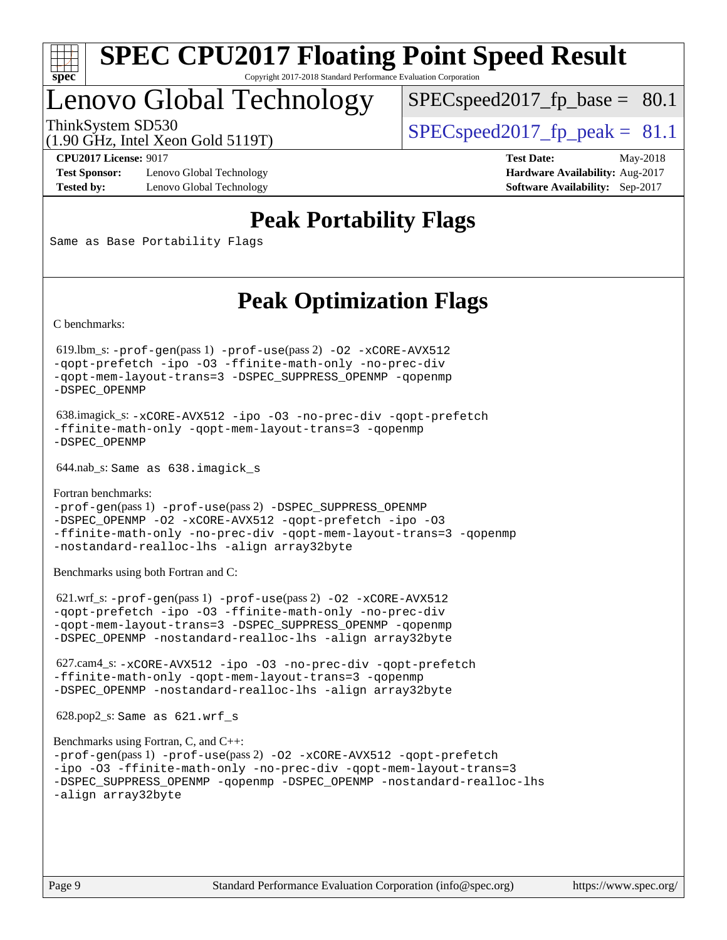

## Lenovo Global Technology

 $SPECspeed2017_fp\_base = 80.1$ 

(1.90 GHz, Intel Xeon Gold 5119T)

ThinkSystem SD530  $SPEC speed2017$  fp\_peak = 81.1

**[Test Sponsor:](http://www.spec.org/auto/cpu2017/Docs/result-fields.html#TestSponsor)** Lenovo Global Technology **[Hardware Availability:](http://www.spec.org/auto/cpu2017/Docs/result-fields.html#HardwareAvailability)** Aug-2017 **[Tested by:](http://www.spec.org/auto/cpu2017/Docs/result-fields.html#Testedby)** Lenovo Global Technology **[Software Availability:](http://www.spec.org/auto/cpu2017/Docs/result-fields.html#SoftwareAvailability)** Sep-2017

**[CPU2017 License:](http://www.spec.org/auto/cpu2017/Docs/result-fields.html#CPU2017License)** 9017 **[Test Date:](http://www.spec.org/auto/cpu2017/Docs/result-fields.html#TestDate)** May-2018

## **[Peak Portability Flags](http://www.spec.org/auto/cpu2017/Docs/result-fields.html#PeakPortabilityFlags)**

Same as Base Portability Flags

## **[Peak Optimization Flags](http://www.spec.org/auto/cpu2017/Docs/result-fields.html#PeakOptimizationFlags)**

[C benchmarks](http://www.spec.org/auto/cpu2017/Docs/result-fields.html#Cbenchmarks):

 619.lbm\_s: [-prof-gen](http://www.spec.org/cpu2017/results/res2018q2/cpu2017-20180513-05483.flags.html#user_peakPASS1_CFLAGSPASS1_LDFLAGS619_lbm_s_prof_gen_5aa4926d6013ddb2a31985c654b3eb18169fc0c6952a63635c234f711e6e63dd76e94ad52365559451ec499a2cdb89e4dc58ba4c67ef54ca681ffbe1461d6b36)(pass 1) [-prof-use](http://www.spec.org/cpu2017/results/res2018q2/cpu2017-20180513-05483.flags.html#user_peakPASS2_CFLAGSPASS2_LDFLAGS619_lbm_s_prof_use_1a21ceae95f36a2b53c25747139a6c16ca95bd9def2a207b4f0849963b97e94f5260e30a0c64f4bb623698870e679ca08317ef8150905d41bd88c6f78df73f19)(pass 2) [-O2](http://www.spec.org/cpu2017/results/res2018q2/cpu2017-20180513-05483.flags.html#user_peakPASS1_COPTIMIZE619_lbm_s_f-O2) [-xCORE-AVX512](http://www.spec.org/cpu2017/results/res2018q2/cpu2017-20180513-05483.flags.html#user_peakPASS2_COPTIMIZE619_lbm_s_f-xCORE-AVX512) [-qopt-prefetch](http://www.spec.org/cpu2017/results/res2018q2/cpu2017-20180513-05483.flags.html#user_peakPASS1_COPTIMIZEPASS2_COPTIMIZE619_lbm_s_f-qopt-prefetch) [-ipo](http://www.spec.org/cpu2017/results/res2018q2/cpu2017-20180513-05483.flags.html#user_peakPASS2_COPTIMIZE619_lbm_s_f-ipo) [-O3](http://www.spec.org/cpu2017/results/res2018q2/cpu2017-20180513-05483.flags.html#user_peakPASS2_COPTIMIZE619_lbm_s_f-O3) [-ffinite-math-only](http://www.spec.org/cpu2017/results/res2018q2/cpu2017-20180513-05483.flags.html#user_peakPASS1_COPTIMIZEPASS2_COPTIMIZE619_lbm_s_f_finite_math_only_cb91587bd2077682c4b38af759c288ed7c732db004271a9512da14a4f8007909a5f1427ecbf1a0fb78ff2a814402c6114ac565ca162485bbcae155b5e4258871) [-no-prec-div](http://www.spec.org/cpu2017/results/res2018q2/cpu2017-20180513-05483.flags.html#user_peakPASS2_COPTIMIZE619_lbm_s_f-no-prec-div) [-qopt-mem-layout-trans=3](http://www.spec.org/cpu2017/results/res2018q2/cpu2017-20180513-05483.flags.html#user_peakPASS1_COPTIMIZEPASS2_COPTIMIZE619_lbm_s_f-qopt-mem-layout-trans_de80db37974c74b1f0e20d883f0b675c88c3b01e9d123adea9b28688d64333345fb62bc4a798493513fdb68f60282f9a726aa07f478b2f7113531aecce732043) [-DSPEC\\_SUPPRESS\\_OPENMP](http://www.spec.org/cpu2017/results/res2018q2/cpu2017-20180513-05483.flags.html#suite_peakPASS1_COPTIMIZE619_lbm_s_DSPEC_SUPPRESS_OPENMP) [-qopenmp](http://www.spec.org/cpu2017/results/res2018q2/cpu2017-20180513-05483.flags.html#user_peakPASS2_COPTIMIZE619_lbm_s_qopenmp_16be0c44f24f464004c6784a7acb94aca937f053568ce72f94b139a11c7c168634a55f6653758ddd83bcf7b8463e8028bb0b48b77bcddc6b78d5d95bb1df2967) [-DSPEC\\_OPENMP](http://www.spec.org/cpu2017/results/res2018q2/cpu2017-20180513-05483.flags.html#suite_peakPASS2_COPTIMIZE619_lbm_s_DSPEC_OPENMP)

 638.imagick\_s: [-xCORE-AVX512](http://www.spec.org/cpu2017/results/res2018q2/cpu2017-20180513-05483.flags.html#user_peakCOPTIMIZE638_imagick_s_f-xCORE-AVX512) [-ipo](http://www.spec.org/cpu2017/results/res2018q2/cpu2017-20180513-05483.flags.html#user_peakCOPTIMIZE638_imagick_s_f-ipo) [-O3](http://www.spec.org/cpu2017/results/res2018q2/cpu2017-20180513-05483.flags.html#user_peakCOPTIMIZE638_imagick_s_f-O3) [-no-prec-div](http://www.spec.org/cpu2017/results/res2018q2/cpu2017-20180513-05483.flags.html#user_peakCOPTIMIZE638_imagick_s_f-no-prec-div) [-qopt-prefetch](http://www.spec.org/cpu2017/results/res2018q2/cpu2017-20180513-05483.flags.html#user_peakCOPTIMIZE638_imagick_s_f-qopt-prefetch) [-ffinite-math-only](http://www.spec.org/cpu2017/results/res2018q2/cpu2017-20180513-05483.flags.html#user_peakCOPTIMIZE638_imagick_s_f_finite_math_only_cb91587bd2077682c4b38af759c288ed7c732db004271a9512da14a4f8007909a5f1427ecbf1a0fb78ff2a814402c6114ac565ca162485bbcae155b5e4258871) [-qopt-mem-layout-trans=3](http://www.spec.org/cpu2017/results/res2018q2/cpu2017-20180513-05483.flags.html#user_peakCOPTIMIZE638_imagick_s_f-qopt-mem-layout-trans_de80db37974c74b1f0e20d883f0b675c88c3b01e9d123adea9b28688d64333345fb62bc4a798493513fdb68f60282f9a726aa07f478b2f7113531aecce732043) [-qopenmp](http://www.spec.org/cpu2017/results/res2018q2/cpu2017-20180513-05483.flags.html#user_peakCOPTIMIZE638_imagick_s_qopenmp_16be0c44f24f464004c6784a7acb94aca937f053568ce72f94b139a11c7c168634a55f6653758ddd83bcf7b8463e8028bb0b48b77bcddc6b78d5d95bb1df2967) [-DSPEC\\_OPENMP](http://www.spec.org/cpu2017/results/res2018q2/cpu2017-20180513-05483.flags.html#suite_peakCOPTIMIZE638_imagick_s_DSPEC_OPENMP)

644.nab\_s: Same as 638.imagick\_s

[Fortran benchmarks](http://www.spec.org/auto/cpu2017/Docs/result-fields.html#Fortranbenchmarks): [-prof-gen](http://www.spec.org/cpu2017/results/res2018q2/cpu2017-20180513-05483.flags.html#user_FCpeak_prof_gen_5aa4926d6013ddb2a31985c654b3eb18169fc0c6952a63635c234f711e6e63dd76e94ad52365559451ec499a2cdb89e4dc58ba4c67ef54ca681ffbe1461d6b36)(pass 1) [-prof-use](http://www.spec.org/cpu2017/results/res2018q2/cpu2017-20180513-05483.flags.html#user_FCpeak_prof_use_1a21ceae95f36a2b53c25747139a6c16ca95bd9def2a207b4f0849963b97e94f5260e30a0c64f4bb623698870e679ca08317ef8150905d41bd88c6f78df73f19)(pass 2) [-DSPEC\\_SUPPRESS\\_OPENMP](http://www.spec.org/cpu2017/results/res2018q2/cpu2017-20180513-05483.flags.html#suite_FCpeak_DSPEC_SUPPRESS_OPENMP) [-DSPEC\\_OPENMP](http://www.spec.org/cpu2017/results/res2018q2/cpu2017-20180513-05483.flags.html#suite_FCpeak_DSPEC_OPENMP) [-O2](http://www.spec.org/cpu2017/results/res2018q2/cpu2017-20180513-05483.flags.html#user_FCpeak_f-O2) [-xCORE-AVX512](http://www.spec.org/cpu2017/results/res2018q2/cpu2017-20180513-05483.flags.html#user_FCpeak_f-xCORE-AVX512) [-qopt-prefetch](http://www.spec.org/cpu2017/results/res2018q2/cpu2017-20180513-05483.flags.html#user_FCpeak_f-qopt-prefetch) [-ipo](http://www.spec.org/cpu2017/results/res2018q2/cpu2017-20180513-05483.flags.html#user_FCpeak_f-ipo) [-O3](http://www.spec.org/cpu2017/results/res2018q2/cpu2017-20180513-05483.flags.html#user_FCpeak_f-O3) [-ffinite-math-only](http://www.spec.org/cpu2017/results/res2018q2/cpu2017-20180513-05483.flags.html#user_FCpeak_f_finite_math_only_cb91587bd2077682c4b38af759c288ed7c732db004271a9512da14a4f8007909a5f1427ecbf1a0fb78ff2a814402c6114ac565ca162485bbcae155b5e4258871) [-no-prec-div](http://www.spec.org/cpu2017/results/res2018q2/cpu2017-20180513-05483.flags.html#user_FCpeak_f-no-prec-div) [-qopt-mem-layout-trans=3](http://www.spec.org/cpu2017/results/res2018q2/cpu2017-20180513-05483.flags.html#user_FCpeak_f-qopt-mem-layout-trans_de80db37974c74b1f0e20d883f0b675c88c3b01e9d123adea9b28688d64333345fb62bc4a798493513fdb68f60282f9a726aa07f478b2f7113531aecce732043) [-qopenmp](http://www.spec.org/cpu2017/results/res2018q2/cpu2017-20180513-05483.flags.html#user_FCpeak_qopenmp_16be0c44f24f464004c6784a7acb94aca937f053568ce72f94b139a11c7c168634a55f6653758ddd83bcf7b8463e8028bb0b48b77bcddc6b78d5d95bb1df2967) [-nostandard-realloc-lhs](http://www.spec.org/cpu2017/results/res2018q2/cpu2017-20180513-05483.flags.html#user_FCpeak_f_2003_std_realloc_82b4557e90729c0f113870c07e44d33d6f5a304b4f63d4c15d2d0f1fab99f5daaed73bdb9275d9ae411527f28b936061aa8b9c8f2d63842963b95c9dd6426b8a) [-align array32byte](http://www.spec.org/cpu2017/results/res2018q2/cpu2017-20180513-05483.flags.html#user_FCpeak_align_array32byte_b982fe038af199962ba9a80c053b8342c548c85b40b8e86eb3cc33dee0d7986a4af373ac2d51c3f7cf710a18d62fdce2948f201cd044323541f22fc0fffc51b6)

[Benchmarks using both Fortran and C](http://www.spec.org/auto/cpu2017/Docs/result-fields.html#BenchmarksusingbothFortranandC):

 621.wrf\_s: [-prof-gen](http://www.spec.org/cpu2017/results/res2018q2/cpu2017-20180513-05483.flags.html#user_peakPASS1_CFLAGSPASS1_FFLAGSPASS1_LDFLAGS621_wrf_s_prof_gen_5aa4926d6013ddb2a31985c654b3eb18169fc0c6952a63635c234f711e6e63dd76e94ad52365559451ec499a2cdb89e4dc58ba4c67ef54ca681ffbe1461d6b36)(pass 1) [-prof-use](http://www.spec.org/cpu2017/results/res2018q2/cpu2017-20180513-05483.flags.html#user_peakPASS2_CFLAGSPASS2_FFLAGSPASS2_LDFLAGS621_wrf_s_prof_use_1a21ceae95f36a2b53c25747139a6c16ca95bd9def2a207b4f0849963b97e94f5260e30a0c64f4bb623698870e679ca08317ef8150905d41bd88c6f78df73f19)(pass 2) [-O2](http://www.spec.org/cpu2017/results/res2018q2/cpu2017-20180513-05483.flags.html#user_peakPASS1_COPTIMIZEPASS1_FOPTIMIZE621_wrf_s_f-O2) [-xCORE-AVX512](http://www.spec.org/cpu2017/results/res2018q2/cpu2017-20180513-05483.flags.html#user_peakPASS2_COPTIMIZEPASS2_FOPTIMIZE621_wrf_s_f-xCORE-AVX512) [-qopt-prefetch](http://www.spec.org/cpu2017/results/res2018q2/cpu2017-20180513-05483.flags.html#user_peakPASS1_COPTIMIZEPASS1_FOPTIMIZEPASS2_COPTIMIZEPASS2_FOPTIMIZE621_wrf_s_f-qopt-prefetch) [-ipo](http://www.spec.org/cpu2017/results/res2018q2/cpu2017-20180513-05483.flags.html#user_peakPASS2_COPTIMIZEPASS2_FOPTIMIZE621_wrf_s_f-ipo) [-O3](http://www.spec.org/cpu2017/results/res2018q2/cpu2017-20180513-05483.flags.html#user_peakPASS2_COPTIMIZEPASS2_FOPTIMIZE621_wrf_s_f-O3) [-ffinite-math-only](http://www.spec.org/cpu2017/results/res2018q2/cpu2017-20180513-05483.flags.html#user_peakPASS1_COPTIMIZEPASS1_FOPTIMIZEPASS2_COPTIMIZEPASS2_FOPTIMIZE621_wrf_s_f_finite_math_only_cb91587bd2077682c4b38af759c288ed7c732db004271a9512da14a4f8007909a5f1427ecbf1a0fb78ff2a814402c6114ac565ca162485bbcae155b5e4258871) [-no-prec-div](http://www.spec.org/cpu2017/results/res2018q2/cpu2017-20180513-05483.flags.html#user_peakPASS2_COPTIMIZEPASS2_FOPTIMIZE621_wrf_s_f-no-prec-div) [-qopt-mem-layout-trans=3](http://www.spec.org/cpu2017/results/res2018q2/cpu2017-20180513-05483.flags.html#user_peakPASS1_COPTIMIZEPASS1_FOPTIMIZEPASS2_COPTIMIZEPASS2_FOPTIMIZE621_wrf_s_f-qopt-mem-layout-trans_de80db37974c74b1f0e20d883f0b675c88c3b01e9d123adea9b28688d64333345fb62bc4a798493513fdb68f60282f9a726aa07f478b2f7113531aecce732043) [-DSPEC\\_SUPPRESS\\_OPENMP](http://www.spec.org/cpu2017/results/res2018q2/cpu2017-20180513-05483.flags.html#suite_peakPASS1_COPTIMIZEPASS1_FOPTIMIZE621_wrf_s_DSPEC_SUPPRESS_OPENMP) [-qopenmp](http://www.spec.org/cpu2017/results/res2018q2/cpu2017-20180513-05483.flags.html#user_peakPASS2_COPTIMIZEPASS2_FOPTIMIZE621_wrf_s_qopenmp_16be0c44f24f464004c6784a7acb94aca937f053568ce72f94b139a11c7c168634a55f6653758ddd83bcf7b8463e8028bb0b48b77bcddc6b78d5d95bb1df2967) [-DSPEC\\_OPENMP](http://www.spec.org/cpu2017/results/res2018q2/cpu2017-20180513-05483.flags.html#suite_peakPASS2_COPTIMIZEPASS2_FOPTIMIZE621_wrf_s_DSPEC_OPENMP) [-nostandard-realloc-lhs](http://www.spec.org/cpu2017/results/res2018q2/cpu2017-20180513-05483.flags.html#user_peakEXTRA_FOPTIMIZE621_wrf_s_f_2003_std_realloc_82b4557e90729c0f113870c07e44d33d6f5a304b4f63d4c15d2d0f1fab99f5daaed73bdb9275d9ae411527f28b936061aa8b9c8f2d63842963b95c9dd6426b8a) [-align array32byte](http://www.spec.org/cpu2017/results/res2018q2/cpu2017-20180513-05483.flags.html#user_peakEXTRA_FOPTIMIZE621_wrf_s_align_array32byte_b982fe038af199962ba9a80c053b8342c548c85b40b8e86eb3cc33dee0d7986a4af373ac2d51c3f7cf710a18d62fdce2948f201cd044323541f22fc0fffc51b6)

 627.cam4\_s: [-xCORE-AVX512](http://www.spec.org/cpu2017/results/res2018q2/cpu2017-20180513-05483.flags.html#user_peakCOPTIMIZEFOPTIMIZE627_cam4_s_f-xCORE-AVX512) [-ipo](http://www.spec.org/cpu2017/results/res2018q2/cpu2017-20180513-05483.flags.html#user_peakCOPTIMIZEFOPTIMIZE627_cam4_s_f-ipo) [-O3](http://www.spec.org/cpu2017/results/res2018q2/cpu2017-20180513-05483.flags.html#user_peakCOPTIMIZEFOPTIMIZE627_cam4_s_f-O3) [-no-prec-div](http://www.spec.org/cpu2017/results/res2018q2/cpu2017-20180513-05483.flags.html#user_peakCOPTIMIZEFOPTIMIZE627_cam4_s_f-no-prec-div) [-qopt-prefetch](http://www.spec.org/cpu2017/results/res2018q2/cpu2017-20180513-05483.flags.html#user_peakCOPTIMIZEFOPTIMIZE627_cam4_s_f-qopt-prefetch) [-ffinite-math-only](http://www.spec.org/cpu2017/results/res2018q2/cpu2017-20180513-05483.flags.html#user_peakCOPTIMIZEFOPTIMIZE627_cam4_s_f_finite_math_only_cb91587bd2077682c4b38af759c288ed7c732db004271a9512da14a4f8007909a5f1427ecbf1a0fb78ff2a814402c6114ac565ca162485bbcae155b5e4258871) [-qopt-mem-layout-trans=3](http://www.spec.org/cpu2017/results/res2018q2/cpu2017-20180513-05483.flags.html#user_peakCOPTIMIZEFOPTIMIZE627_cam4_s_f-qopt-mem-layout-trans_de80db37974c74b1f0e20d883f0b675c88c3b01e9d123adea9b28688d64333345fb62bc4a798493513fdb68f60282f9a726aa07f478b2f7113531aecce732043) [-qopenmp](http://www.spec.org/cpu2017/results/res2018q2/cpu2017-20180513-05483.flags.html#user_peakCOPTIMIZEFOPTIMIZE627_cam4_s_qopenmp_16be0c44f24f464004c6784a7acb94aca937f053568ce72f94b139a11c7c168634a55f6653758ddd83bcf7b8463e8028bb0b48b77bcddc6b78d5d95bb1df2967) [-DSPEC\\_OPENMP](http://www.spec.org/cpu2017/results/res2018q2/cpu2017-20180513-05483.flags.html#suite_peakCOPTIMIZEFOPTIMIZE627_cam4_s_DSPEC_OPENMP) [-nostandard-realloc-lhs](http://www.spec.org/cpu2017/results/res2018q2/cpu2017-20180513-05483.flags.html#user_peakEXTRA_FOPTIMIZE627_cam4_s_f_2003_std_realloc_82b4557e90729c0f113870c07e44d33d6f5a304b4f63d4c15d2d0f1fab99f5daaed73bdb9275d9ae411527f28b936061aa8b9c8f2d63842963b95c9dd6426b8a) [-align array32byte](http://www.spec.org/cpu2017/results/res2018q2/cpu2017-20180513-05483.flags.html#user_peakEXTRA_FOPTIMIZE627_cam4_s_align_array32byte_b982fe038af199962ba9a80c053b8342c548c85b40b8e86eb3cc33dee0d7986a4af373ac2d51c3f7cf710a18d62fdce2948f201cd044323541f22fc0fffc51b6)

628.pop2\_s: Same as 621.wrf\_s

```
Benchmarks using Fortran, C, and C++: 
-prof-gen(pass 1) -prof-use(pass 2) -O2 -xCORE-AVX512 -qopt-prefetch
-ipo -O3 -ffinite-math-only -no-prec-div -qopt-mem-layout-trans=3
-DSPEC_SUPPRESS_OPENMP -qopenmp -DSPEC_OPENMP -nostandard-realloc-lhs
-align array32byte
```